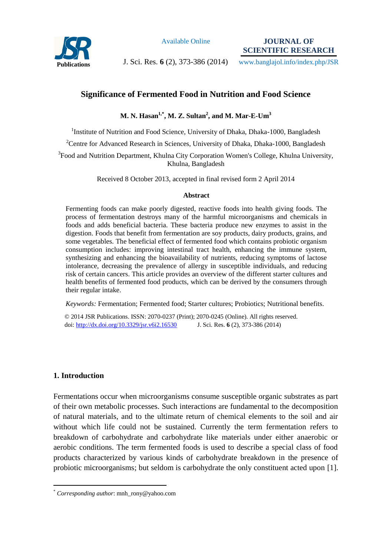

Available Online

**JOURNAL OF SCIENTIFIC RESEARCH**

**Publications** J. Sci. Res. **6** (2), 373-386 (2014)

www.banglajol.info/index.php/JSR

## **Significance of Fermented Food in Nutrition and Food Science**

**M. N. Hasan1,\* , M. Z. Sultan<sup>2</sup> , and M. Mar-E-Um<sup>3</sup>**

<sup>1</sup>Institute of Nutrition and Food Science, University of Dhaka, Dhaka-1000, Bangladesh

<sup>2</sup>Centre for Advanced Research in Sciences, University of Dhaka, Dhaka-1000, Bangladesh

<sup>3</sup> Food and Nutrition Department, Khulna City Corporation Women's College, Khulna University, Khulna, Bangladesh

Received 8 October 2013, accepted in final revised form 2 April 2014

#### **Abstract**

Fermenting foods can make poorly digested, reactive foods into health giving foods. The process of fermentation destroys many of the harmful microorganisms and chemicals in foods and adds beneficial bacteria. These bacteria produce new enzymes to assist in the digestion. Foods that benefit from fermentation are soy products, dairy products, grains, and some vegetables. The beneficial effect of fermented food which contains probiotic organism consumption includes: improving intestinal tract health, enhancing the immune system, synthesizing and enhancing the bioavailability of nutrients, reducing symptoms of lactose intolerance, decreasing the prevalence of allergy in susceptible individuals, and reducing risk of certain cancers. This article provides an overview of the different starter cultures and health benefits of fermented food products, which can be derived by the consumers through their regular intake.

*Keywords:* Fermentation; Fermented food; Starter cultures; Probiotics; Nutritional benefits.

© 2014 JSR Publications. ISSN: 2070-0237 (Print); 2070-0245 (Online). All rights reserved. doi[: http://dx.doi.org/10.3329/jsr.v6i2.16530](http://dx.doi.org/10.3329/jsr.v6i2.16530) J. Sci. Res. **6** (2), 373-386 (2014)

## **1. Introduction**

 $\overline{a}$ 

Fermentations occur when microorganisms consume susceptible organic substrates as part of their own metabolic processes. Such interactions are fundamental to the decomposition of natural materials, and to the ultimate return of chemical elements to the soil and air without which life could not be sustained. Currently the term fermentation refers to breakdown of carbohydrate and carbohydrate like materials under either anaerobic or aerobic conditions. The term fermented foods is used to describe a special class of food products characterized by various kinds of carbohydrate breakdown in the presence of probiotic microorganisms; but seldom is carbohydrate the only constituent acted upon [1].

<sup>\*</sup> *Corresponding author*[: mnh\\_rony@yahoo.com](mailto:mnh_rony@yahoo.com)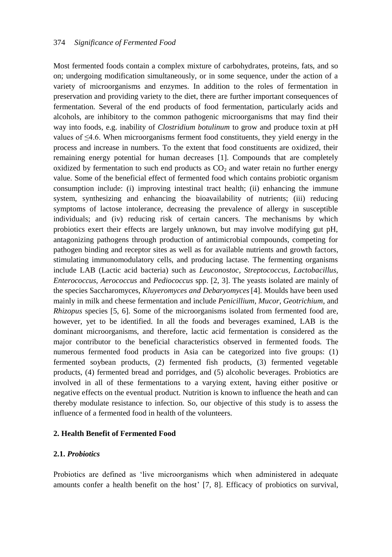#### 374 *Significance of Fermented Food*

Most fermented foods contain a complex mixture of carbohydrates, proteins, fats, and so on; undergoing modification simultaneously, or in some sequence, under the action of a variety of microorganisms and enzymes. In addition to the roles of fermentation in preservation and providing variety to the diet, there are further important consequences of fermentation. Several of the end products of food fermentation, particularly acids and alcohols, are inhibitory to the common pathogenic microorganisms that may find their way into foods, e.g. inability of *Clostridium botulinum* to grow and produce toxin at pH values of  $\leq$ 4.6. When microorganisms ferment food constituents, they yield energy in the process and increase in numbers. To the extent that food constituents are oxidized, their remaining energy potential for human decreases [1]. Compounds that are completely oxidized by fermentation to such end products as  $CO<sub>2</sub>$  and water retain no further energy value. Some of the beneficial effect of fermented food which contains probiotic organism consumption include: (i) improving intestinal tract health; (ii) enhancing the immune system, synthesizing and enhancing the bioavailability of nutrients; (iii) reducing symptoms of lactose intolerance, decreasing the prevalence of allergy in susceptible individuals; and (iv) reducing risk of certain cancers. The mechanisms by which probiotics exert their effects are largely unknown, but may involve modifying gut pH, antagonizing pathogens through production of antimicrobial compounds, competing for pathogen binding and receptor sites as well as for available nutrients and growth factors, stimulating immunomodulatory cells, and producing lactase. The fermenting organisms include LAB (Lactic acid bacteria) such as *Leuconostoc, Streptococcus, Lactobacillus, Enterococcus, Aerococcus* and *Pediococcus* spp. [2, 3]. The yeasts isolated are mainly of the species Saccharomyces*, Kluyeromyces and Debaryomyces*[4]. Moulds have been used mainly in milk and cheese fermentation and include *Penicillium, Mucor, Geotrichium,* and *Rhizopus* species [5, 6]. Some of the microorganisms isolated from fermented food are, however, yet to be identified. In all the foods and beverages examined, LAB is the dominant microorganisms, and therefore, lactic acid fermentation is considered as the major contributor to the beneficial characteristics observed in fermented foods. The numerous fermented food products in Asia can be categorized into five groups: (1) fermented soybean products, (2) fermented fish products, (3) fermented vegetable products, (4) fermented bread and porridges, and (5) alcoholic beverages. Probiotics are involved in all of these fermentations to a varying extent, having either positive or negative effects on the eventual product. Nutrition is known to influence the heath and can thereby modulate resistance to infection. So, our objective of this study is to assess the influence of a fermented food in health of the volunteers.

#### **2. Health Benefit of Fermented Food**

## **2.1.** *Probiotics*

Probiotics are defined as "live microorganisms which when administered in adequate amounts confer a health benefit on the host" [7, 8]. Efficacy of probiotics on survival,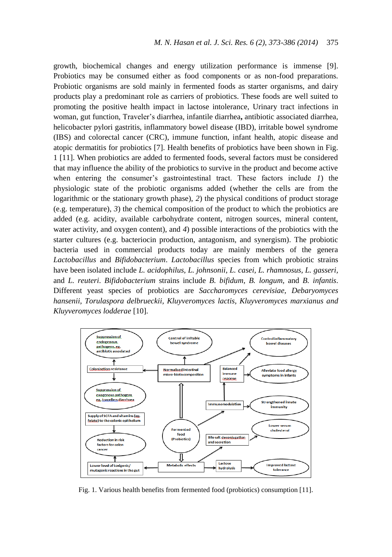growth, biochemical changes and energy utilization performance is immense [9]. Probiotics may be consumed either as food components or as non-food preparations. Probiotic organisms are sold mainly in fermented foods as starter organisms, and dairy products play a predominant role as carriers of probiotics. These foods are well suited to promoting the positive health impact in lactose intolerance, Urinary tract infections in woman, gut function, Traveler"s diarrhea, infantile diarrhea**,** antibiotic associated diarrhea, helicobacter pylori gastritis, inflammatory bowel disease (IBD), irritable bowel syndrome (IBS) and colorectal cancer (CRC), immune function, infant health, atopic disease and atopic dermatitis for probiotics [7]. Health benefits of probiotics have been shown in Fig. 1 [11]. When probiotics are added to fermented foods, several factors must be considered that may influence the ability of the probiotics to survive in the product and become active when entering the consumer"s gastrointestinal tract. These factors include *1*) the physiologic state of the probiotic organisms added (whether the cells are from the logarithmic or the stationary growth phase), *2*) the physical conditions of product storage (e.g. temperature), *3*) the chemical composition of the product to which the probiotics are added (e.g. acidity, available carbohydrate content, nitrogen sources, mineral content, water activity, and oxygen content), and *4*) possible interactions of the probiotics with the starter cultures (e.g. bacteriocin production, antagonism, and synergism). The probiotic bacteria used in commercial products today are mainly members of the genera *Lactobacillus* and *Bifidobacterium*. *Lactobacillus* species from which probiotic strains have been isolated include *L. acidophilus, L. johnsonii, L. casei, L. rhamnosus, L. gasseri,*  and *L. reuteri*. *Bifidobacterium* strains include *B. bifidum, B. longum,* and *B. infantis*. Different yeast species of probiotics are *Saccharomyces cerevisiae, Debaryomyces hansenii, Torulaspora delbrueckii, Kluyveromyces lactis, Kluyveromyces marxianus and Kluyveromyces lodderae* [10]*.*



Fig. 1. Various health benefits from fermented food (probiotics) consumption [11].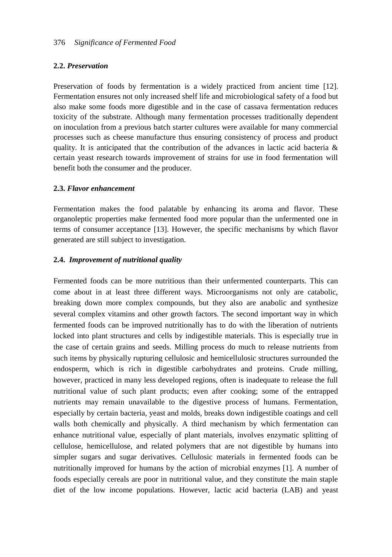## **2.2.** *Preservation*

Preservation of foods by fermentation is a widely practiced from ancient time [12]. Fermentation ensures not only increased shelf life and microbiological safety of a food but also make some foods more digestible and in the case of cassava fermentation reduces toxicity of the substrate. Although many fermentation processes traditionally dependent on inoculation from a previous batch starter cultures were available for many commercial processes such as cheese manufacture thus ensuring consistency of process and product quality. It is anticipated that the contribution of the advances in lactic acid bacteria  $\&$ certain yeast research towards improvement of strains for use in food fermentation will benefit both the consumer and the producer.

#### **2.3.** *Flavor enhancement*

Fermentation makes the food palatable by enhancing its aroma and flavor. These organoleptic properties make fermented food more popular than the unfermented one in terms of consumer acceptance [13]. However, the specific mechanisms by which flavor generated are still subject to investigation.

## **2.4.** *Improvement of nutritional quality*

Fermented foods can be more nutritious than their unfermented counterparts. This can come about in at least three different ways. Microorganisms not only are catabolic, breaking down more complex compounds, but they also are anabolic and synthesize several complex vitamins and other growth factors. The second important way in which fermented foods can be improved nutritionally has to do with the liberation of nutrients locked into plant structures and cells by indigestible materials. This is especially true in the case of certain grains and seeds. Milling process do much to release nutrients from such items by physically rupturing cellulosic and hemicellulosic structures surrounded the endosperm, which is rich in digestible carbohydrates and proteins. Crude milling, however, practiced in many less developed regions, often is inadequate to release the full nutritional value of such plant products; even after cooking; some of the entrapped nutrients may remain unavailable to the digestive process of humans. Fermentation, especially by certain bacteria, yeast and molds, breaks down indigestible coatings and cell walls both chemically and physically. A third mechanism by which fermentation can enhance nutritional value, especially of plant materials, involves enzymatic splitting of cellulose, hemicellulose, and related polymers that are not digestible by humans into simpler sugars and sugar derivatives. Cellulosic materials in fermented foods can be nutritionally improved for humans by the action of microbial enzymes [1]. A number of foods especially cereals are poor in nutritional value, and they constitute the main staple diet of the low income populations. However, lactic acid bacteria (LAB) and yeast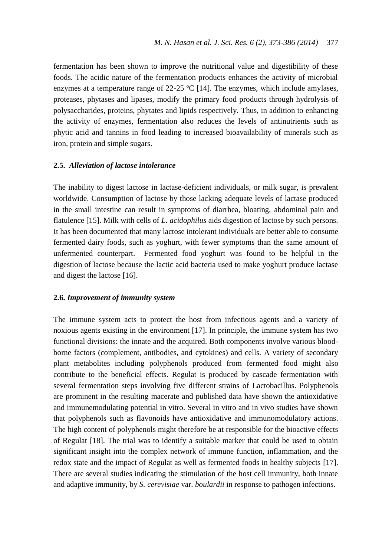fermentation has been shown to improve the nutritional value and digestibility of these foods. The acidic nature of the fermentation products enhances the activity of microbial enzymes at a temperature range of  $22{\text -}25$  °C [14]. The enzymes, which include amylases, proteases, phytases and lipases, modify the primary food products through hydrolysis of polysaccharides, proteins, phytates and lipids respectively. Thus, in addition to enhancing the activity of enzymes, fermentation also reduces the levels of antinutrients such as phytic acid and tannins in food leading to increased bioavailability of minerals such as iron, protein and simple sugars.

#### **2.5.** *Alleviation of lactose intolerance*

The inability to digest lactose in lactase-deficient individuals, or milk sugar, is prevalent worldwide. Consumption of lactose by those lacking adequate levels of lactase produced in the small intestine can result in symptoms of diarrhea, bloating, abdominal pain and flatulence [15]. Milk with cells of *L. acidophilus* aids digestion of lactose by such persons. It has been documented that many lactose intolerant individuals are better able to consume fermented dairy foods, such as yoghurt, with fewer symptoms than the same amount of unfermented counterpart. Fermented food yoghurt was found to be helpful in the digestion of lactose because the lactic acid bacteria used to make yoghurt produce lactase and digest the lactose [16].

#### **2.6.** *Improvement of immunity system*

The immune system acts to protect the host from infectious agents and a variety of noxious agents existing in the environment [17]. In principle, the immune system has two functional divisions: the innate and the acquired. Both components involve various bloodborne factors (complement, antibodies, and cytokines) and cells. A variety of secondary plant metabolites including polyphenols produced from fermented food might also contribute to the beneficial effects. Regulat is produced by cascade fermentation with several fermentation steps involving five different strains of Lactobacillus. Polyphenols are prominent in the resulting macerate and published data have shown the antioxidative and immunemodulating potential in vitro. Several in vitro and in vivo studies have shown that polyphenols such as flavonoids have antioxidative and immunomodulatory actions. The high content of polyphenols might therefore be at responsible for the bioactive effects of Regulat [18]. The trial was to identify a suitable marker that could be used to obtain significant insight into the complex network of immune function, inflammation, and the redox state and the impact of Regulat as well as fermented foods in healthy subjects [17]. There are several studies indicating the stimulation of the host cell immunity, both innate and adaptive immunity, by *S. cerevisiae* var. *boulardii* in response to pathogen infections.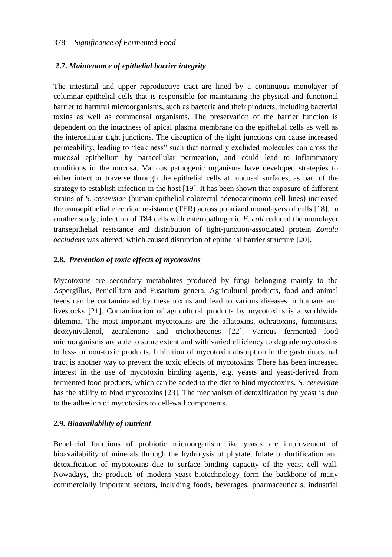## **2.7.** *Maintenance of epithelial barrier integrity*

The intestinal and upper reproductive tract are lined by a continuous monolayer of columnar epithelial cells that is responsible for maintaining the physical and functional barrier to harmful microorganisms, such as bacteria and their products, including bacterial toxins as well as commensal organisms. The preservation of the barrier function is dependent on the intactness of apical plasma membrane on the epithelial cells as well as the intercellular tight junctions. The disruption of the tight junctions can cause increased permeability, leading to "leakiness" such that normally excluded molecules can cross the mucosal epithelium by paracellular permeation, and could lead to inflammatory conditions in the mucosa. Various pathogenic organisms have developed strategies to either infect or traverse through the epithelial cells at mucosal surfaces, as part of the strategy to establish infection in the host [19]. It has been shown that exposure of different strains of *S. cerevisiae* (human epithelial colorectal adenocarcinoma cell lines) increased the transepithelial electrical resistance (TER) across polarized monolayers of cells [18]. In another study, infection of T84 cells with enteropathogenic *E. coli* reduced the monolayer transepithelial resistance and distribution of tight-junction-associated protein *Zonula occludens* was altered, which caused disruption of epithelial barrier structure [20].

#### **2.8.** *Prevention of toxic effects of mycotoxins*

Mycotoxins are secondary metabolites produced by fungi belonging mainly to the Aspergillus, Penicillium and Fusarium genera. Agricultural products, food and animal feeds can be contaminated by these toxins and lead to various diseases in humans and livestocks [21]. Contamination of agricultural products by mycotoxins is a worldwide dilemma. The most important mycotoxins are the aflatoxins, ochratoxins, fumonisins, deoxynivalenol, zearalenone and trichothecenes [22]. Various fermented food microorganisms are able to some extent and with varied efficiency to degrade mycotoxins to less- or non-toxic products. Inhibition of mycotoxin absorption in the gastrointestinal tract is another way to prevent the toxic effects of mycotoxins. There has been increased interest in the use of mycotoxin binding agents, e.g. yeasts and yeast-derived from fermented food products, which can be added to the diet to bind mycotoxins. *S. cerevisiae*  has the ability to bind mycotoxins [23]. The mechanism of detoxification by yeast is due to the adhesion of mycotoxins to cell-wall components.

#### **2.9.** *Bioavailability of nutrient*

Beneficial functions of probiotic microorganism like yeasts are improvement of bioavailability of minerals through the hydrolysis of phytate, folate biofortification and detoxification of mycotoxins due to surface binding capacity of the yeast cell wall. Nowadays, the products of modern yeast biotechnology form the backbone of many commercially important sectors, including foods, beverages, pharmaceuticals, industrial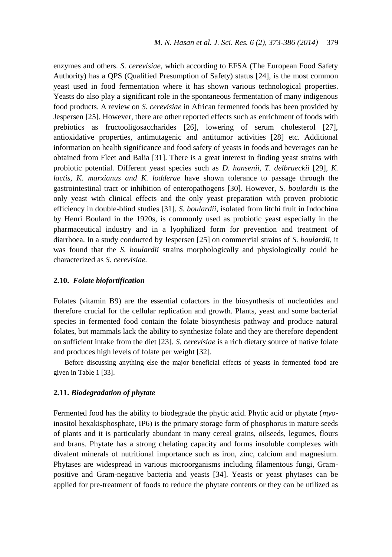enzymes and others. *S. cerevisiae*, which according to EFSA (The European Food Safety Authority) has a QPS (Qualified Presumption of Safety) status [24], is the most common yeast used in food fermentation where it has shown various technological properties. Yeasts do also play a significant role in the spontaneous fermentation of many indigenous food products. A review on *S. cerevisiae* in African fermented foods has been provided by Jespersen [25]. However, there are other reported effects such as enrichment of foods with prebiotics as fructooligosaccharides [26], lowering of serum cholesterol [27], antioxidative properties, antimutagenic and antitumor activities [28] etc. Additional information on health significance and food safety of yeasts in foods and beverages can be obtained from Fleet and Balia [31]. There is a great interest in finding yeast strains with probiotic potential. Different yeast species such as *D. hansenii, T. delbrueckii* [29]*, K. lactis, K. marxianus and K. lodderae* have shown tolerance to passage through the gastrointestinal tract or inhibition of enteropathogens [30]. However, *S. boulardii* is the only yeast with clinical effects and the only yeast preparation with proven probiotic efficiency in double-blind studies [31]. *S. boulardii*, isolated from litchi fruit in Indochina by Henri Boulard in the 1920s, is commonly used as probiotic yeast especially in the pharmaceutical industry and in a lyophilized form for prevention and treatment of diarrhoea. In a study conducted by Jespersen [25] on commercial strains of *S. boulardii,* it was found that the *S. boulardii* strains morphologically and physiologically could be characterized as *S. cerevisiae.*

#### **2.10.** *Folate biofortification*

Folates (vitamin B9) are the essential cofactors in the biosynthesis of nucleotides and therefore crucial for the cellular replication and growth. Plants, yeast and some bacterial species in fermented food contain the folate biosynthesis pathway and produce natural folates, but mammals lack the ability to synthesize folate and they are therefore dependent on sufficient intake from the diet [23]. *S. cerevisiae* is a rich dietary source of native folate and produces high levels of folate per weight [32].

Before discussing anything else the major beneficial effects of yeasts in fermented food are given in Table 1 [33].

## **2.11.** *Biodegradation of phytate*

Fermented food has the ability to biodegrade the phytic acid. Phytic acid or phytate (*myo*inositol hexakisphosphate, IP6) is the primary storage form of phosphorus in mature seeds of plants and it is particularly abundant in many cereal grains, oilseeds, legumes, flours and brans. Phytate has a strong chelating capacity and forms insoluble complexes with divalent minerals of nutritional importance such as iron, zinc, calcium and magnesium. Phytases are widespread in various microorganisms including filamentous fungi, Grampositive and Gram-negative bacteria and yeasts [34]. Yeasts or yeast phytases can be applied for pre-treatment of foods to reduce the phytate contents or they can be utilized as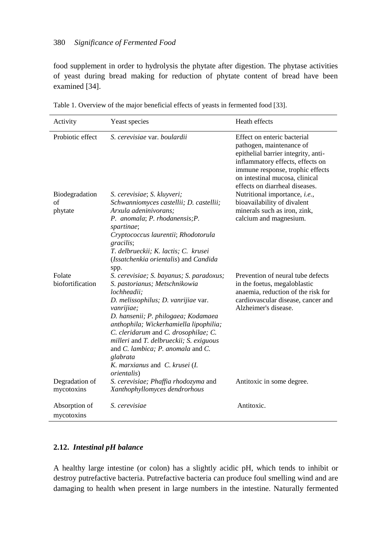## 380 *Significance of Fermented Food*

food supplement in order to hydrolysis the phytate after digestion. The phytase activities of yeast during bread making for reduction of phytate content of bread have been examined [34].

| Activity                     | Yeast species                                                                                                                                                                                                                                                                                                                                                                                                               | Heath effects                                                                                                                                                                                                                              |
|------------------------------|-----------------------------------------------------------------------------------------------------------------------------------------------------------------------------------------------------------------------------------------------------------------------------------------------------------------------------------------------------------------------------------------------------------------------------|--------------------------------------------------------------------------------------------------------------------------------------------------------------------------------------------------------------------------------------------|
| Probiotic effect             | S. cerevisiae var. boulardii                                                                                                                                                                                                                                                                                                                                                                                                | Effect on enteric bacterial<br>pathogen, maintenance of<br>epithelial barrier integrity, anti-<br>inflammatory effects, effects on<br>immune response, trophic effects<br>on intestinal mucosa, clinical<br>effects on diarrheal diseases. |
| Biodegradation               | S. cerevisiae; S. kluyveri;                                                                                                                                                                                                                                                                                                                                                                                                 | Nutritional importance, <i>i.e.</i> ,                                                                                                                                                                                                      |
| of                           | Schwanniomyces castellii; D. castellii;                                                                                                                                                                                                                                                                                                                                                                                     | bioavailability of divalent                                                                                                                                                                                                                |
| phytate                      | Arxula adeninivorans;<br>P. anomala; P. rhodanensis; P.<br>spartinae;                                                                                                                                                                                                                                                                                                                                                       | minerals such as iron, zink,<br>calcium and magnesium.                                                                                                                                                                                     |
|                              | Cryptococcus laurentii; Rhodotorula<br>gracilis;                                                                                                                                                                                                                                                                                                                                                                            |                                                                                                                                                                                                                                            |
|                              | T. delbrueckii; K. lactis; C. krusei                                                                                                                                                                                                                                                                                                                                                                                        |                                                                                                                                                                                                                                            |
|                              | (Issatchenkia orientalis) and Candida<br>spp.                                                                                                                                                                                                                                                                                                                                                                               |                                                                                                                                                                                                                                            |
| Folate<br>biofortification   | S. cerevisiae; S. bayanus; S. paradoxus;<br>S. pastorianus; Metschnikowia<br>lochheadii:<br>D. melissophilus; D. vanrijiae var.<br>vanrijiae;<br>D. hansenii; P. philogaea; Kodamaea<br>anthophila; Wickerhamiella lipophilia;<br>C. cleridarum and C. drosophilae; C.<br>milleri and T. delbrueckii; S. exiguous<br>and C. lambica; P. anomala and C.<br>glabrata<br>K. marxianus and C. krusei (I.<br><i>orientalis</i> ) | Prevention of neural tube defects<br>in the foetus, megaloblastic<br>anaemia, reduction of the risk for<br>cardiovascular disease, cancer and<br>Alzheimer's disease.                                                                      |
| Degradation of<br>mycotoxins | S. cerevisiae; Phaffia rhodozyma and<br>Xanthophyllomyces dendrorhous                                                                                                                                                                                                                                                                                                                                                       | Antitoxic in some degree.                                                                                                                                                                                                                  |
| Absorption of<br>mycotoxins  | S. cerevisiae                                                                                                                                                                                                                                                                                                                                                                                                               | Antitoxic.                                                                                                                                                                                                                                 |

Table 1. Overview of the major beneficial effects of yeasts in fermented food [33].

## **2.12.** *Intestinal pH balance*

A healthy large intestine (or colon) has a slightly acidic pH, which tends to inhibit or destroy putrefactive bacteria. Putrefactive bacteria can produce foul smelling wind and are damaging to health when present in large numbers in the intestine. Naturally fermented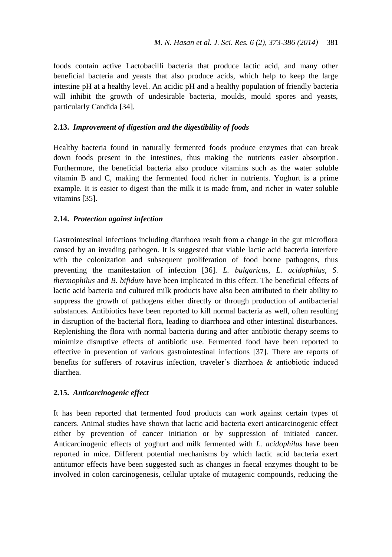foods contain active Lactobacilli bacteria that produce lactic acid, and many other beneficial bacteria and yeasts that also produce acids, which help to keep the large intestine pH at a healthy level. An acidic pH and a healthy population of friendly bacteria will inhibit the growth of undesirable bacteria, moulds, mould spores and yeasts, particularly Candida [34].

## **2.13.** *Improvement of digestion and the digestibility of foods*

Healthy bacteria found in naturally fermented foods produce enzymes that can break down foods present in the intestines, thus making the nutrients easier absorption. Furthermore, the beneficial bacteria also produce vitamins such as the water soluble vitamin B and C, making the fermented food richer in nutrients. Yoghurt is a prime example. It is easier to digest than the milk it is made from, and richer in water soluble vitamins [35].

#### **2.14.** *Protection against infection*

Gastrointestinal infections including diarrhoea result from a change in the gut microflora caused by an invading pathogen. It is suggested that viable lactic acid bacteria interfere with the colonization and subsequent proliferation of food borne pathogens, thus preventing the manifestation of infection [36]. *L. bulgaricus*, *L. acidophilus*, *S. thermophilus* and *B. bifidum* have been implicated in this effect. The beneficial effects of lactic acid bacteria and cultured milk products have also been attributed to their ability to suppress the growth of pathogens either directly or through production of antibacterial substances. Antibiotics have been reported to kill normal bacteria as well, often resulting in disruption of the bacterial flora, leading to diarrhoea and other intestinal disturbances. Replenishing the flora with normal bacteria during and after antibiotic therapy seems to minimize disruptive effects of antibiotic use. Fermented food have been reported to effective in prevention of various gastrointestinal infections [37]. There are reports of benefits for sufferers of rotavirus infection, traveler"s diarrhoea & antiobiotic induced diarrhea.

#### **2.15.** *Anticarcinogenic effect*

It has been reported that fermented food products can work against certain types of cancers. Animal studies have shown that lactic acid bacteria exert anticarcinogenic effect either by prevention of cancer initiation or by suppression of initiated cancer. Anticarcinogenic effects of yoghurt and milk fermented with *L. acidophilus* have been reported in mice. Different potential mechanisms by which lactic acid bacteria exert antitumor effects have been suggested such as changes in faecal enzymes thought to be involved in colon carcinogenesis, cellular uptake of mutagenic compounds, reducing the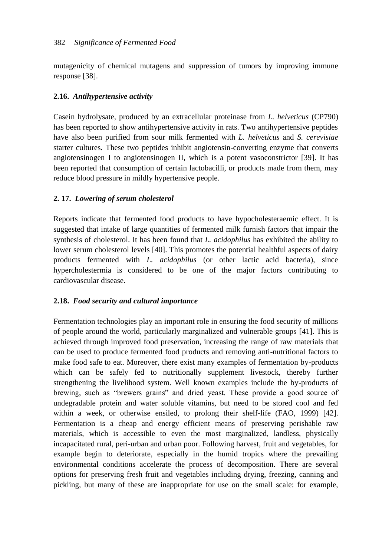mutagenicity of chemical mutagens and suppression of tumors by improving immune response [38].

# **2.16.** *Antihypertensive activity*

Casein hydrolysate, produced by an extracellular proteinase from *L. helveticus* (CP790) has been reported to show antihypertensive activity in rats. Two antihypertensive peptides have also been purified from sour milk fermented with *L. helveticus* and *S. cerevisiae* starter cultures. These two peptides inhibit angiotensin-converting enzyme that converts angiotensinogen I to angiotensinogen II, which is a potent vasoconstrictor [39]. It has been reported that consumption of certain lactobacilli, or products made from them, may reduce blood pressure in mildly hypertensive people.

# **2. 17.** *Lowering of serum cholesterol*

Reports indicate that fermented food products to have hypocholesteraemic effect. It is suggested that intake of large quantities of fermented milk furnish factors that impair the synthesis of cholesterol. It has been found that *L. acidophilus* has exhibited the ability to lower serum cholesterol levels [40]. This promotes the potential healthful aspects of dairy products fermented with *L. acidophilus* (or other lactic acid bacteria), since hypercholestermia is considered to be one of the major factors contributing to cardiovascular disease.

## **2.18.** *Food security and cultural importance*

Fermentation technologies play an important role in ensuring the food security of millions of people around the world, particularly marginalized and vulnerable groups [41]. This is achieved through improved food preservation, increasing the range of raw materials that can be used to produce fermented food products and removing anti-nutritional factors to make food safe to eat. Moreover, there exist many examples of fermentation by-products which can be safely fed to nutritionally supplement livestock, thereby further strengthening the livelihood system. Well known examples include the by-products of brewing, such as "brewers grains" and dried yeast. These provide a good source of undegradable protein and water soluble vitamins, but need to be stored cool and fed within a week, or otherwise ensiled, to prolong their shelf-life (FAO, 1999) [42]. Fermentation is a cheap and energy efficient means of preserving perishable raw materials, which is accessible to even the most marginalized, landless, physically incapacitated rural, peri-urban and urban poor. Following harvest, fruit and vegetables, for example begin to deteriorate, especially in the humid tropics where the prevailing environmental conditions accelerate the process of decomposition. There are several options for preserving fresh fruit and vegetables including drying, freezing, canning and pickling, but many of these are inappropriate for use on the small scale: for example,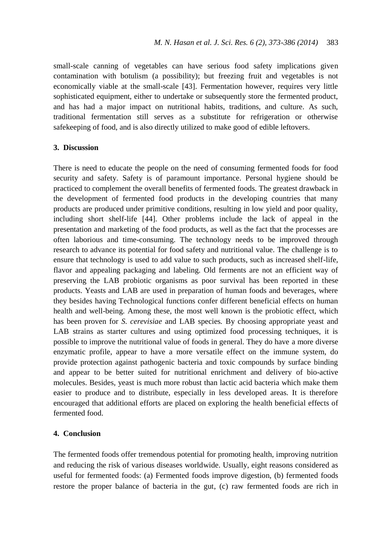small-scale canning of vegetables can have serious food safety implications given contamination with botulism (a possibility); but freezing fruit and vegetables is not economically viable at the small-scale [43]. Fermentation however, requires very little sophisticated equipment, either to undertake or subsequently store the fermented product, and has had a major impact on nutritional habits, traditions, and culture. As such, traditional fermentation still serves as a substitute for refrigeration or otherwise safekeeping of food, and is also directly utilized to make good of edible leftovers.

## **3. Discussion**

There is need to educate the people on the need of consuming fermented foods for food security and safety. Safety is of paramount importance. Personal hygiene should be practiced to complement the overall benefits of fermented foods. The greatest drawback in the development of fermented food products in the developing countries that many products are produced under primitive conditions, resulting in low yield and poor quality, including short shelf-life [44]. Other problems include the lack of appeal in the presentation and marketing of the food products, as well as the fact that the processes are often laborious and time-consuming. The technology needs to be improved through research to advance its potential for food safety and nutritional value. The challenge is to ensure that technology is used to add value to such products, such as increased shelf-life, flavor and appealing packaging and labeling. Old ferments are not an efficient way of preserving the LAB probiotic organisms as poor survival has been reported in these products. Yeasts and LAB are used in preparation of human foods and beverages, where they besides having Technological functions confer different beneficial effects on human health and well-being. Among these, the most well known is the probiotic effect, which has been proven for *S. cerevisiae* and LAB species*.* By choosing appropriate yeast and LAB strains as starter cultures and using optimized food processing techniques, it is possible to improve the nutritional value of foods in general. They do have a more diverse enzymatic profile, appear to have a more versatile effect on the immune system, do provide protection against pathogenic bacteria and toxic compounds by surface binding and appear to be better suited for nutritional enrichment and delivery of bio-active molecules. Besides, yeast is much more robust than lactic acid bacteria which make them easier to produce and to distribute, especially in less developed areas. It is therefore encouraged that additional efforts are placed on exploring the health beneficial effects of fermented food.

#### **4. Conclusion**

The fermented foods offer tremendous potential for promoting health, improving nutrition and reducing the risk of various diseases worldwide. Usually, eight reasons considered as useful for fermented foods: (a) Fermented foods improve digestion, (b) fermented foods restore the proper balance of bacteria in the gut, (c) raw fermented foods are rich in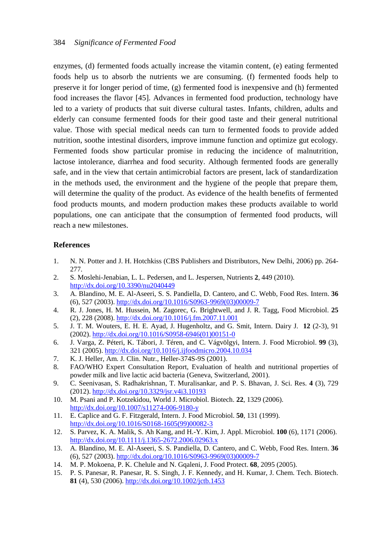enzymes, (d) fermented foods actually increase the vitamin content, (e) eating fermented foods help us to absorb the nutrients we are consuming. (f) fermented foods help to preserve it for longer period of time, (g) fermented food is inexpensive and (h) fermented food increases the flavor [45]. Advances in fermented food production, technology have led to a variety of products that suit diverse cultural tastes. Infants, children, adults and elderly can consume fermented foods for their good taste and their general nutritional value. Those with special medical needs can turn to fermented foods to provide added nutrition, soothe intestinal disorders, improve immune function and optimize gut ecology. Fermented foods show particular promise in reducing the incidence of malnutrition, lactose intolerance, diarrhea and food security. Although fermented foods are generally safe, and in the view that certain antimicrobial factors are present, lack of standardization in the methods used, the environment and the hygiene of the people that prepare them, will determine the quality of the product. As evidence of the health benefits of fermented food products mounts, and modern production makes these products available to world populations, one can anticipate that the consumption of fermented food products, will reach a new milestones.

#### **References**

- 1. N. N. Potter and J. H. Hotchkiss (CBS Publishers and Distributors, New Delhi, 2006) pp. 264- 277.
- 2. S. Moslehi-Jenabian, L. L. Pedersen, and L. Jespersen, Nutrients **2**, 449 (2010). <http://dx.doi.org/10.3390/nu2040449>
- 3. A. Blandino, M. E. Al-Aseeri, S. S. Pandiella, D. Cantero, and C. Webb, Food Res. Intern. **36** (6), 527 (2003). [http://dx.doi.org/10.1016/S0963-9969\(03\)00009-7](http://dx.doi.org/10.1016/S0963-9969%2803%2900009-7)
- 4. R. J. Jones, H. M. Hussein, M. Zagorec, G. Brightwell, and J. R. Tagg, Food Microbiol. **25** (2), 228 (2008). <http://dx.doi.org/10.1016/j.fm.2007.11.001>
- 5. J. T. M. Wouters, E. H. E. Ayad, J. Hugenholtz, and G. Smit, Intern. Dairy J. **12** (2-3), 91 (2002). [http://dx.doi.org/10.1016/S0958-6946\(01\)00151-0](http://dx.doi.org/10.1016/S0958-6946%2801%2900151-0)
- 6. J. Varga, Z. Péteri, K. Tábori, J. Téren, and C. Vágvölgyi, Intern. J. Food Microbiol. **99** (3), 321 (2005). <http://dx.doi.org/10.1016/j.ijfoodmicro.2004.10.034>
- 7. K. J. Heller, Am. J. Clin. Nutr., Heller-374S-9S (2001).
- 8. FAO/WHO Expert Consultation Report, Evaluation of health and nutritional properties of powder milk and live lactic acid bacteria (Geneva, Switzerland, 2001).
- 9. C. Seenivasan, S. Radhakrishnan, T. Muralisankar, and P. S. Bhavan, J. Sci. Res. **4** (3), 729 (2012).<http://dx.doi.org/10.3329/jsr.v4i3.10193>
- 10. M. Psani and P. Kotzekidou, World J. Microbiol. Biotech. **22**, 1329 (2006). <http://dx.doi.org/10.1007/s11274-006-9180-y>
- 11. E. Caplice and G. F. Fitzgerald, Intern. J. Food Microbiol. **50**, 131 (1999). [http://dx.doi.org/10.1016/S0168-1605\(99\)00082-3](http://dx.doi.org/10.1016/S0168-1605%2899%2900082-3)
- 12. S. Parvez, K. A. Malik, S. Ah Kang, and H.-Y. Kim, J. Appl. [Microbiol.](http://onlinelibrary.wiley.com/journal/10.1111/%28ISSN%291365-2672) **[100](http://onlinelibrary.wiley.com/journal/10.1111/%28ISSN%291365-2672)** (6), 1171 (2006). <http://dx.doi.org/10.1111/j.1365-2672.2006.02963.x>
- 13. A. Blandino, M. E. Al-Aseeri, S. S. Pandiella, D. Cantero, and C. Webb, Food Res. Intern. **36** (6), 527 (2003). [http://dx.doi.org/10.1016/S0963-9969\(03\)00009-7](http://dx.doi.org/10.1016/S0963-9969%2803%2900009-7)
- 14. M. P. Mokoena, P. K. Chelule and N. Gqaleni, J. Food Protect. **68**, 2095 (2005).
- 15. P. S. Panesar, R. Panesar, R. S. Singh, J. F. Kennedy, and H. Kumar, J. Chem. Tech. Biotech. **81** (4), 530 (2006).<http://dx.doi.org/10.1002/jctb.1453>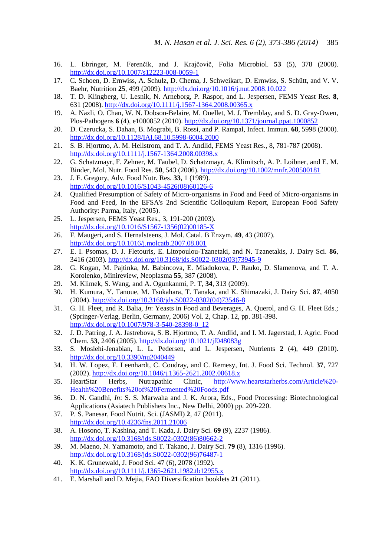- 16. L. Ebringer, M. Ferenčík, and J. Krajčovič, Folia Microbiol. **53** (5), 378 (2008). <http://dx.doi.org/10.1007/s12223-008-0059-1>
- 17. C. Schoen, D. Ernwiss, A. Schulz, D. Chema, J. Schweikart, D. Ernwiss, S. Schütt, and V. V. Baehr, Nutrition **25**, 499 (2009). <http://dx.doi.org/10.1016/j.nut.2008.10.022>
- 18. T. D. Klingberg, U. Lesnik, N. Arneborg, P. Raspor, and L. Jespersen, FEMS Yeast Res. **8**, 631 (2008). <http://dx.doi.org/10.1111/j.1567-1364.2008.00365.x>
- 19. A. Nazli, O. Chan, W. N. Dobson-Belaire, M. Ouellet, M. J. Tremblay, and S. D. Gray-Owen, Plos-Pathogens **6** (4), e1000852 (2010).<http://dx.doi.org/10.1371/journal.ppat.1000852>
- 20. D. Czerucka, S. Dahan, B. Mograbi, B. Rossi, and P. Rampal, Infect. Immun. **68**, 5998 (2000). <http://dx.doi.org/10.1128/IAI.68.10.5998-6004.2000>
- 21. S. B. Hjortmo, A. M. Hellstrom, and T. A. Andlid, FEMS Yeast Res., 8, 781-787 (2008). <http://dx.doi.org/10.1111/j.1567-1364.2008.00398.x>
- 22. G. Schatzmayr, F. Zehner, M. Taubel, D. Schatzmayr, A. Klimitsch, A. P. Loibner, and E. M. Binder, Mol. Nutr. Food Res. **50**, 543 (2006). <http://dx.doi.org/10.1002/mnfr.200500181>
- 23. J. F. Gregory, Adv. Food Nutr. Res. **33**, 1 (1989). [http://dx.doi.org/10.1016/S1043-4526\(08\)60126-6](http://dx.doi.org/10.1016/S1043-4526%2808%2960126-6)
- 24. Qualified Presumption of Safety of Micro-organisms in Food and Feed of Micro-organisms in Food and Feed, In the EFSA's 2nd Scientific Colloquium Report, European Food Safety Authority: Parma, Italy, (2005).
- 25. L. Jespersen, FEMS Yeast Res., 3, 191-200 (2003). [http://dx.doi.org/10.1016/S1567-1356\(02\)00185-X](http://dx.doi.org/10.1016/S1567-1356%2802%2900185-X)
- 26. F. Maugeri, and S. Hernalsteens, J. Mol. Catal. B Enzym. **49**, 43 (2007). <http://dx.doi.org/10.1016/j.molcatb.2007.08.001>
- 27. E. I. Psomas, D. J. Fletouris, E. Litopoulou-Tzanetaki, and N. Tzanetakis, J. Dairy Sci. **86**, 3416 (2003). [http://dx.doi.org/10.3168/jds.S0022-0302\(03\)73945-9](http://dx.doi.org/10.3168/jds.S0022-0302%2803%2973945-9)
- 28. G. Kogan, M. Pajtinka, M. Babincova, E. Miadokova, P. Rauko, D. Slamenova, and T. A. Korolenko, Minireview, Neoplasma **55**, 387 (2008).
- 29. M. Klimek, S. Wang, and A. Ogunkanmi, P. T, **34**, 313 (2009).
- 30. H. Kumura, Y. Tanoue, M. Tsukahara, T. Tanaka, and K. Shimazaki, J. Dairy Sci. **87**, 4050 (2004). [http://dx.doi.org/10.3168/jds.S0022-0302\(04\)73546-8](http://dx.doi.org/10.3168/jds.S0022-0302%2804%2973546-8)
- 31. G. H. Fleet, and R. Balia, *In*: Yeasts in Food and Beverages, A. Querol, and G. H. Fleet Eds.; (Springer-Verlag, Berlin, Germany, 2006) Vol. 2, Chap. 12, pp. 381-398. [http://dx.doi.org/10.1007/978-3-540-28398-0\\_12](http://dx.doi.org/10.1007/978-3-540-28398-0_12)
- 32. J. D. Patring, J. A. Jastrebova, S. B. Hjortmo, T. A. Andlid, and I. M. Jagerstad, J. Agric. Food Chem. **53**, 2406 (2005). <http://dx.doi.org/10.1021/jf048083g>
- 33. S. [Moslehi-Jenabian,](http://www.ncbi.nlm.nih.gov/pubmed/?term=Moslehi-Jenabian%20S%5Bauth%5D) L. L. [Pedersen,](http://www.ncbi.nlm.nih.gov/pubmed/?term=Pedersen%20LL%5Bauth%5D) and L. [Jespersen,](http://www.ncbi.nlm.nih.gov/pubmed/?term=Jespersen%20L%5Bauth%5D) Nutrients **2** (4), 449 (2010). <http://dx.doi.org/10.3390/nu2040449>
- 34. H. W. Lopez, F. Leenhardt, C. Coudray, and C. Remesy, Int. J. Food Sci. Technol. **37**, 727 (2002). <http://dx.doi.org/10.1046/j.1365-2621.2002.00618.x>
- 35. HeartStar Herbs, Nutrapathic Clinic, [http://www.heartstarherbs.com/Article%20-](http://www.heartstarherbs.com/Article%20-Health%20Benefits%20of%20Fermented%20Foods.pdf) [Health%20Benefits%20of%20Fermented%20Foods.pdf](http://www.heartstarherbs.com/Article%20-Health%20Benefits%20of%20Fermented%20Foods.pdf)
- 36. D. N. Gandhi, *In*: S. S. Marwaha and J. K. Arora, Eds., Food Processing: Biotechnological Applications (Asiatech Publishers Inc., New Delhi, 2000) pp. 209-220.
- 37. P. S. Panesar, Food Nutrit. Sci. (JASMI) **2**, 47 (2011). <http://dx.doi.org/10.4236/fns.2011.21006>
- 38. A. [Hosono,](http://www.journalofdairyscience.org/article/S0022-0302%2886%2980662-2/abstract) T. [Kashina,](http://www.journalofdairyscience.org/article/S0022-0302%2886%2980662-2/abstract) and T. [Kada,](http://www.journalofdairyscience.org/article/S0022-0302%2886%2980662-2/abstract) J. Dairy Sci. **69** (9), 2237 (1986). [http://dx.doi.org/10.3168/jds.S0022-0302\(86\)80662-2](http://dx.doi.org/10.3168/jds.S0022-0302%2886%2980662-2)
- 39. M. [Maeno,](http://www.sciencedirect.com/science/article/pii/S0022030296764871) N. [Yamamoto,](http://www.sciencedirect.com/science/article/pii/S0022030296764871) and T. [Takano,](http://www.sciencedirect.com/science/article/pii/S0022030296764871) J. Dairy Sci. **79** (8), 1316 (1996). [http://dx.doi.org/10.3168/jds.S0022-0302\(96\)76487-1](http://dx.doi.org/10.3168/jds.S0022-0302%2896%2976487-1)
- 40. K. K. Grunewald, J. Food Sci. 47 (6), 2078 (1992). <http://dx.doi.org/10.1111/j.1365-2621.1982.tb12955.x>
- 41. E. Marshall and D. Mejia, FAO Diversification booklets **21** (2011).